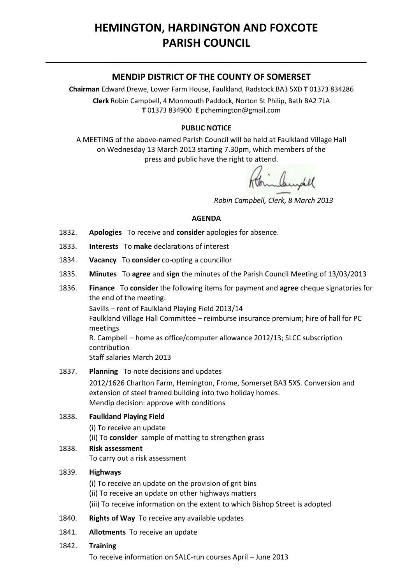# **HEMINGTON, HARDINGTON AND FOXCOTE PARISH COUNCIL**

# **MENDIP DISTRICT OF THE COUNTY OF SOMERSET**

**Chairman** Edward Drewe, Lower Farm House, Faulkland, Radstock BA3 5XD **T** 01373 834286 **Clerk** Robin Campbell, 4 Monmouth Paddock, Norton St Philip, Bath BA2 7LA **T** 01373 834900 **E** [pchemington@gmail.com](mailto:pchemington@gmail.com)

## **PUBLIC NOTICE**

A MEETING of the above-named Parish Council will be held at Faulkland Village Hall on Wednesday 13 March 2013 starting 7.30pm, which members of the press and public have the right to attend.

 *Robin Campbell, Clerk, 8 March 2013*

#### **AGENDA**

- 1832. **Apologies** To receive and **consider** apologies for absence.
- 1833. **Interests** To **make** declarations of interest
- 1834. **Vacancy** To **consider** co-opting a councillor
- 1835. **Minutes** To **agree** and **sign** the minutes of the Parish Council Meeting of 13/03/2013
- 1836. **Finance** To **consider** the following items for payment and **agree** cheque signatories for the end of the meeting:

Savills – rent of Faulkland Playing Field 2013/14 Faulkland Village Hall Committee – reimburse insurance premium; hire of hall for PC meetings R. Campbell – home as office/computer allowance 2012/13; SLCC subscription contribution

Staff salaries March 2013

1837. **Planning** To note decisions and updates

2012/1626 Charlton Farm, Hemington, Frome, Somerset BA3 5XS. Conversion and extension of steel framed building into two holiday homes. Mendip decision: approve with conditions

#### 1838. **Faulkland Playing Field**

(i) To receive an update (ii) To **consider** sample of matting to strengthen grass

## 1838. **Risk assessment** To carry out a risk assessment

#### 1839. **Highways**

(i) To receive an update on the provision of grit bins (ii) To receive an update on other highways matters (iii) To receive information on the extent to which Bishop Street is adopted

- 1840. **Rights of Way** To receive any available updates
- 1841. **Allotments** To receive an update

## 1842. **Training**

To receive information on SALC-run courses April – June 2013